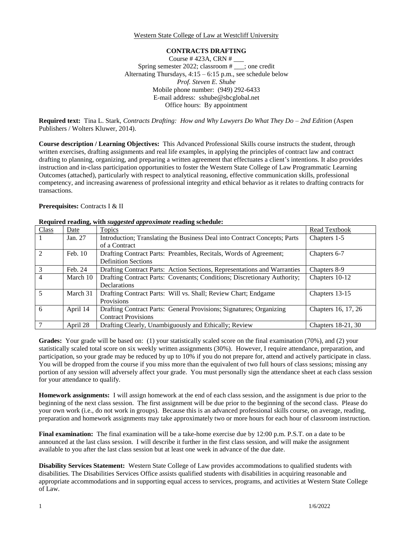Western State College of Law at Westcliff University

## **CONTRACTS DRAFTING**

Course # 423A, CRN # \_\_\_ Spring semester 2022; classroom # \_\_\_; one credit Alternating Thursdays,  $4:15 - 6:15$  p.m., see schedule below *Prof. Steven E. Shube* Mobile phone number: (949) 292-6433 E-mail address: sshube@sbcglobal.net Office hours: By appointment

**Required text:** Tina L. Stark, *Contracts Drafting: How and Why Lawyers Do What They Do – 2nd Edition* (Aspen Publishers / Wolters Kluwer, 2014).

**Course description / Learning Objectives:** This Advanced Professional Skills course instructs the student, through written exercises, drafting assignments and real life examples, in applying the principles of contract law and contract drafting to planning, organizing, and preparing a written agreement that effectuates a client's intentions. It also provides instruction and in-class participation opportunities to foster the Western State College of Law Programmatic Learning Outcomes (attached), particularly with respect to analytical reasoning, effective communication skills, professional competency, and increasing awareness of professional integrity and ethical behavior as it relates to drafting contracts for transactions.

### **Prerequisites:** Contracts I & II

| Class          | Date     | Topics                                                                    | Read Textbook       |
|----------------|----------|---------------------------------------------------------------------------|---------------------|
|                | Jan. 27  | Introduction; Translating the Business Deal into Contract Concepts; Parts | Chapters 1-5        |
|                |          | of a Contract                                                             |                     |
| 2              | Feb. 10  | Drafting Contract Parts: Preambles, Recitals, Words of Agreement;         | Chapters 6-7        |
|                |          | <b>Definition Sections</b>                                                |                     |
| 3              | Feb. 24  | Drafting Contract Parts: Action Sections, Representations and Warranties  | Chapters 8-9        |
| $\overline{4}$ | March 10 | Drafting Contract Parts: Covenants; Conditions; Discretionary Authority;  | Chapters 10-12      |
|                |          | Declarations                                                              |                     |
| $\overline{5}$ | March 31 | Drafting Contract Parts: Will vs. Shall; Review Chart; Endgame            | Chapters 13-15      |
|                |          | Provisions                                                                |                     |
| 6              | April 14 | Drafting Contract Parts: General Provisions; Signatures; Organizing       | Chapters 16, 17, 26 |
|                |          | <b>Contract Provisions</b>                                                |                     |
|                | April 28 | Drafting Clearly, Unambiguously and Ethically; Review                     | Chapters 18-21, 30  |

# **Required reading, with** *suggested approximate* **reading schedule:**

Grades: Your grade will be based on: (1) your statistically scaled score on the final examination (70%), and (2) your statistically scaled total score on six weekly written assignments (30%). However, I require attendance, preparation, and participation, so your grade may be reduced by up to 10% if you do not prepare for, attend and actively participate in class. You will be dropped from the course if you miss more than the equivalent of two full hours of class sessions; missing any portion of any session will adversely affect your grade. You must personally sign the attendance sheet at each class session for your attendance to qualify.

**Homework assignments:** I will assign homework at the end of each class session, and the assignment is due prior to the beginning of the next class session. The first assignment will be due prior to the beginning of the second class. Please do your own work (i.e., do not work in groups). Because this is an advanced professional skills course, on average, reading, preparation and homework assignments may take approximately two or more hours for each hour of classroom instruction.

**Final examination:** The final examination will be a take-home exercise due by 12:00 p.m. P.S.T. on a date to be announced at the last class session. I will describe it further in the first class session, and will make the assignment available to you after the last class session but at least one week in advance of the due date.

**Disability Services Statement:** Western State College of Law provides accommodations to qualified students with disabilities. The Disabilities Services Office assists qualified students with disabilities in acquiring reasonable and appropriate accommodations and in supporting equal access to services, programs, and activities at Western State College of Law.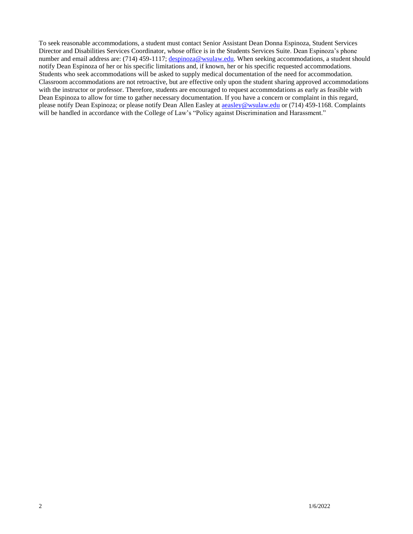To seek reasonable accommodations, a student must contact Senior Assistant Dean Donna Espinoza, Student Services Director and Disabilities Services Coordinator, whose office is in the Students Services Suite. Dean Espinoza's phone number and email address are: (714) 459-1117; [despinoza@wsulaw.edu.](mailto:despinoza@wsulaw.edu) When seeking accommodations, a student should notify Dean Espinoza of her or his specific limitations and, if known, her or his specific requested accommodations. Students who seek accommodations will be asked to supply medical documentation of the need for accommodation. Classroom accommodations are not retroactive, but are effective only upon the student sharing approved accommodations with the instructor or professor. Therefore, students are encouraged to request accommodations as early as feasible with Dean Espinoza to allow for time to gather necessary documentation. If you have a concern or complaint in this regard, please notify Dean Espinoza; or please notify Dean Allen Easley at **aeasley@wsulaw.edu or** (714) 459-1168. Complaints will be handled in accordance with the College of Law's "Policy against Discrimination and Harassment."